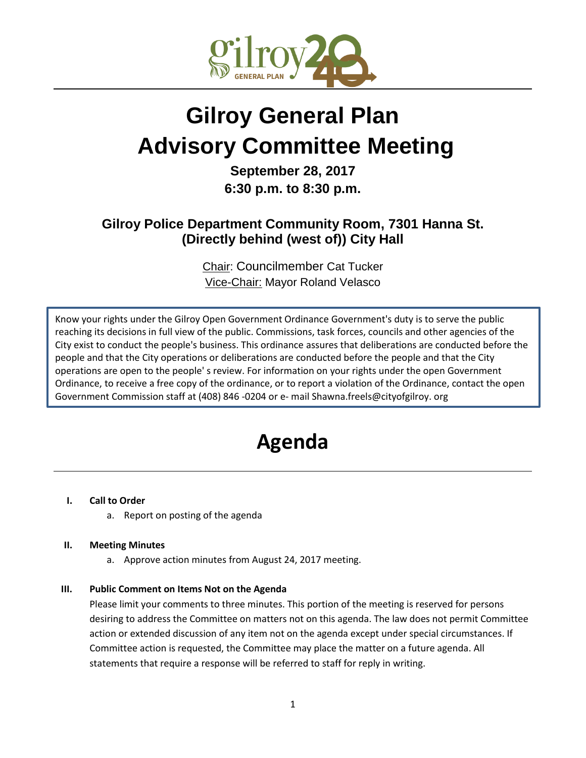

# **Gilroy General Plan Advisory Committee Meeting**

## **September 28, 2017 6:30 p.m. to 8:30 p.m.**

### **Gilroy Police Department Community Room, 7301 Hanna St. (Directly behind (west of)) City Hall**

Chair: Councilmember Cat Tucker Vice-Chair: Mayor Roland Velasco

Know your rights under the Gilroy Open Government Ordinance Government's duty is to serve the public reaching its decisions in full view of the public. Commissions, task forces, councils and other agencies of the City exist to conduct the people's business. This ordinance assures that deliberations are conducted before the people and that the City operations or deliberations are conducted before the people and that the City operations are open to the people' s review. For information on your rights under the open Government Ordinance, to receive a free copy of the ordinance, or to report a violation of the Ordinance, contact the open Government Commission staff at (408) 846 -0204 or e- mail Shawna.freels@cityofgilroy. org

## **Agenda**

#### **I. Call to Order**

a. Report on posting of the agenda

#### **II. Meeting Minutes**

a. Approve action minutes from August 24, 2017 meeting.

#### **III. Public Comment on Items Not on the Agenda**

Please limit your comments to three minutes. This portion of the meeting is reserved for persons desiring to address the Committee on matters not on this agenda. The law does not permit Committee action or extended discussion of any item not on the agenda except under special circumstances. If Committee action is requested, the Committee may place the matter on a future agenda. All statements that require a response will be referred to staff for reply in writing.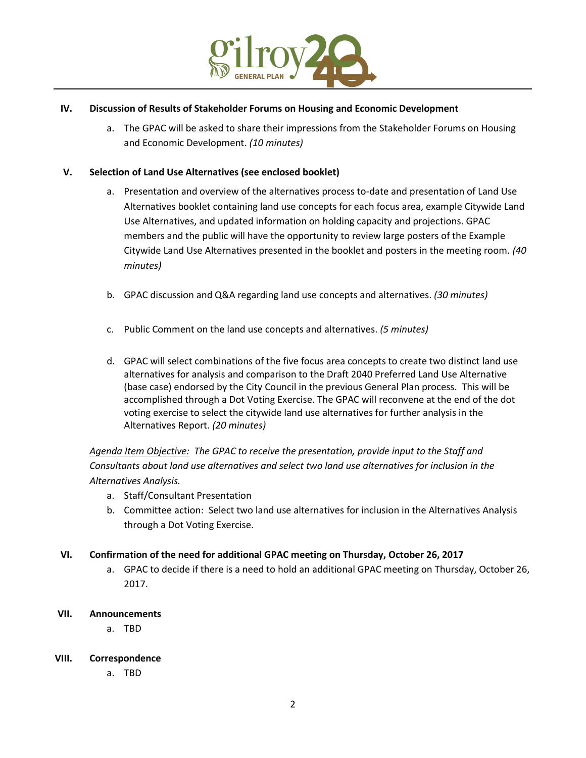

#### **IV. Discussion of Results of Stakeholder Forums on Housing and Economic Development**

a. The GPAC will be asked to share their impressions from the Stakeholder Forums on Housing and Economic Development. *(10 minutes)*

#### **V. Selection of Land Use Alternatives (see enclosed booklet)**

- a. Presentation and overview of the alternatives process to-date and presentation of Land Use Alternatives booklet containing land use concepts for each focus area, example Citywide Land Use Alternatives, and updated information on holding capacity and projections. GPAC members and the public will have the opportunity to review large posters of the Example Citywide Land Use Alternatives presented in the booklet and posters in the meeting room. *(40 minutes)*
- b. GPAC discussion and Q&A regarding land use concepts and alternatives. *(30 minutes)*
- c. Public Comment on the land use concepts and alternatives. *(5 minutes)*
- d. GPAC will select combinations of the five focus area concepts to create two distinct land use alternatives for analysis and comparison to the Draft 2040 Preferred Land Use Alternative (base case) endorsed by the City Council in the previous General Plan process. This will be accomplished through a Dot Voting Exercise. The GPAC will reconvene at the end of the dot voting exercise to select the citywide land use alternatives for further analysis in the Alternatives Report. *(20 minutes)*

*Agenda Item Objective: The GPAC to receive the presentation, provide input to the Staff and Consultants about land use alternatives and select two land use alternatives for inclusion in the Alternatives Analysis.* 

- a. Staff/Consultant Presentation
- b. Committee action: Select two land use alternatives for inclusion in the Alternatives Analysis through a Dot Voting Exercise.

#### **VI. Confirmation of the need for additional GPAC meeting on Thursday, October 26, 2017**

a. GPAC to decide if there is a need to hold an additional GPAC meeting on Thursday, October 26, 2017.

#### **VII. Announcements**

a. TBD

#### **VIII. Correspondence**

a. TBD